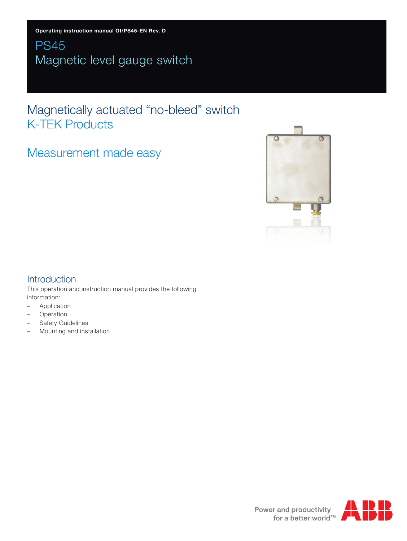# PS45 Magnetic level gauge switch

# Magnetically actuated "no-bleed" switch K-TEK Products

# Measurement made easy



## Introduction

This operation and instruction manual provides the following information:

- Application
- Operation
- Safety Guidelines
- Mounting and installation



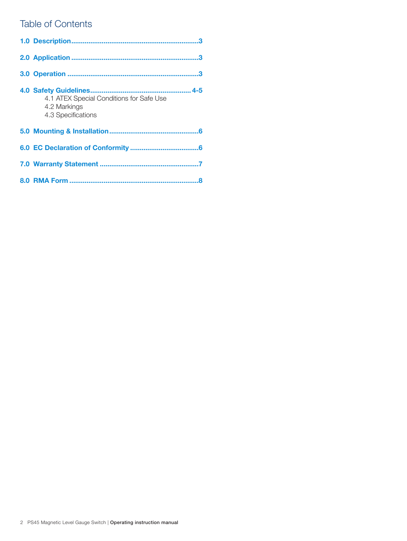## Table of Contents

| 4.1 ATEX Special Conditions for Safe Use<br>4.2 Markings<br>4.3 Specifications |
|--------------------------------------------------------------------------------|
|                                                                                |
|                                                                                |
|                                                                                |
|                                                                                |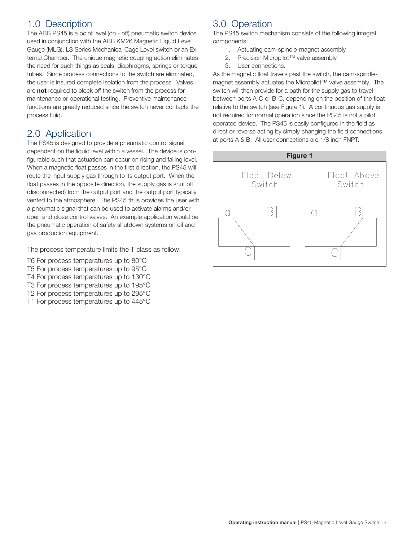# 1.0 Description

The ABB PS45 is a point level (on - off) pneumatic switch device used in conjunction with the ABB KM26 Magnetic Liquid Level Gauge (MLG), LS Series Mechanical Cage Level switch or an External Chamber. The unique magnetic coupling action eliminates the need for such things as seals, diaphragms, springs or torque tubes. Since process connections to the switch are eliminated, the user is insured complete isolation from the process. Valves are **not** required to block off the switch from the process for maintenance or operational testing. Preventive maintenance functions are greatly reduced since the switch never contacts the process fluid.

## 2.0 Application

The PS45 is designed to provide a pneumatic control signal dependent on the liquid level within a vessel. The device is configurable such that actuation can occur on rising and falling level. When a magnetic float passes in the first direction, the PS45 will route the input supply gas through to its output port. When the float passes in the opposite direction, the supply gas is shut off (disconnected) from the output port and the output port typically vented to the atmosphere. The PS45 thus provides the user with a pneumatic signal that can be used to activate alarms and/or open and close control valves. An example application would be the pneumatic operation of safety shutdown systems on oil and gas production equipment.

The process temperature limits the T class as follow:

- T6 For process temperatures up to 80°C T5 For process temperatures up to 95°C T4 For process temperatures up to 130°C T3 For process temperatures up to 195°C
- T2 For process temperatures up to 295°C
- T1 For process temperatures up to 445°C

# 3.0 Operation

The PS45 switch mechanism consists of the following integral components:

- 1. Actuating cam-spindle-magnet assembly
- 2. Precision Micropilot™ valve assembly
- 3. User connections.

As the magnetic float travels past the switch, the cam-spindlemagnet assembly actuates the Micropilot™ valve assembly. The switch will then provide for a path for the supply gas to travel between ports A-C or B-C, depending on the position of the float relative to the switch (see Figure 1). A continuous gas supply is not required for normal operation since the PS45 is not a pilot operated device. The PS45 is easily configured in the field as direct or reverse acting by simply changing the field connections at ports A & B. All user connections are 1/8 inch FNPT.

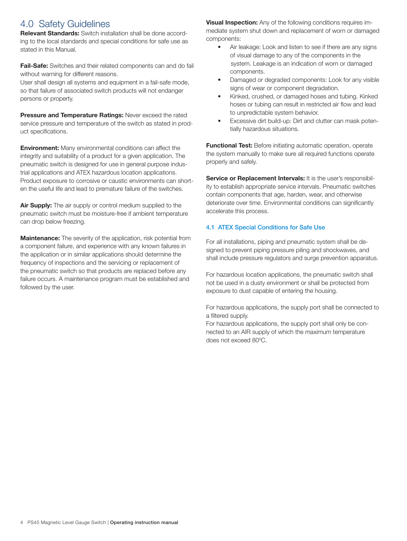## 4.0 Safety Guidelines

**Relevant Standards:** Switch installation shall be done according to the local standards and special conditions for safe use as stated in this Manual.

**Fail-Safe:** Switches and their related components can and do fail without warning for different reasons.

User shall design all systems and equipment in a fail-safe mode, so that failure of associated switch products will not endanger persons or property.

**Pressure and Temperature Ratings:** Never exceed the rated service pressure and temperature of the switch as stated in product specifications.

**Environment:** Many environmental conditions can affect the integrity and suitability of a product for a given application. The pneumatic switch is designed for use in general purpose industrial applications and ATEX hazardous location applications. Product exposure to corrosive or caustic environments can shorten the useful life and lead to premature failure of the switches.

**Air Supply:** The air supply or control medium supplied to the pneumatic switch must be moisture-free if ambient temperature can drop below freezing.

**Maintenance:** The severity of the application, risk potential from a component failure, and experience with any known failures in the application or in similar applications should determine the frequency of inspections and the servicing or replacement of the pneumatic switch so that products are replaced before any failure occurs. A maintenance program must be established and followed by the user.

**Visual Inspection:** Any of the following conditions requires immediate system shut down and replacement of worn or damaged components:

- Air leakage: Look and listen to see if there are anv signs of visual damage to any of the components in the system. Leakage is an indication of worn or damaged components.
- Damaged or degraded components: Look for any visible signs of wear or component degradation.
- Kinked, crushed, or damaged hoses and tubing. Kinked hoses or tubing can result in restricted air flow and lead to unpredictable system behavior.
- Excessive dirt build-up: Dirt and clutter can mask potentially hazardous situations.

**Functional Test:** Before initiating automatic operation, operate the system manually to make sure all required functions operate properly and safely.

**Service or Replacement Intervals:** It is the user's responsibility to establish appropriate service intervals. Pneumatic switches contain components that age, harden, wear, and otherwise deteriorate over time. Environmental conditions can significantly accelerate this process.

### 4.1 ATEX Special Conditions for Safe Use

For all installations, piping and pneumatic system shall be designed to prevent piping pressure piling and shockwaves, and shall include pressure regulators and surge prevention apparatus.

For hazardous location applications, the pneumatic switch shall not be used in a dusty environment or shall be protected from exposure to dust capable of entering the housing.

For hazardous applications, the supply port shall be connected to a filtered supply.

For hazardous applications, the supply port shall only be connected to an AIR supply of which the maximum temperature does not exceed 80°C.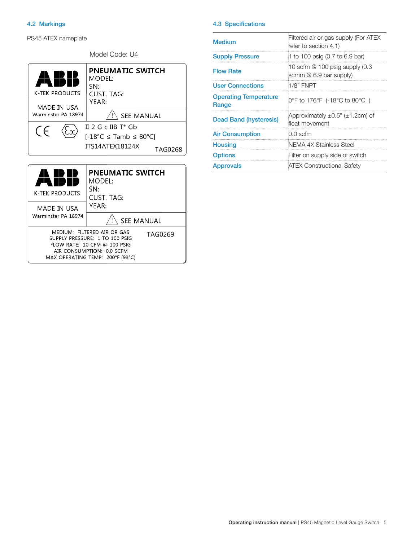### 4.2 Markings

PS45 ATEX nameplate

| Model Code: U4                                                                                                                                                            |                                                                                                                               |  |  |  |  |
|---------------------------------------------------------------------------------------------------------------------------------------------------------------------------|-------------------------------------------------------------------------------------------------------------------------------|--|--|--|--|
| <b>K-TEK PRODUCTS</b><br>MADE IN USA<br>Warminster PA 18974                                                                                                               | <b>PNEUMATIC SWITCH</b><br>MODEL:<br>SN:<br><b>CUST. TAG:</b><br>YEAR:<br><b>SEE MANUAL</b>                                   |  |  |  |  |
| CE                                                                                                                                                                        | $II$ 2 G c IIB T* Gb<br>$[-18^{\circ}\text{C} \leq \text{Tamb} \leq 80^{\circ}\text{C}]$<br>ITS14ATEX18124X<br><b>TAG0268</b> |  |  |  |  |
| <b>K-TEK PRODUCTS</b><br>MADE IN USA                                                                                                                                      | PNEUMATIC SWITCH<br>MODEL:<br>SN:<br>CUST. TAG:<br>YFAR:                                                                      |  |  |  |  |
| Warminster PA 18974                                                                                                                                                       | SEE MANUAL                                                                                                                    |  |  |  |  |
| MEDIUM: FILTERED AIR OR GAS<br>TAG0269<br>SUPPLY PRESSURE: 1 TO 100 PSIG<br>FLOW RATE: 10 CFM @ 100 PSIG<br>AIR CONSUMPTION: 0.0 SCFM<br>MAX OPERATING TEMP: 200°F (93°C) |                                                                                                                               |  |  |  |  |

#### 4.3 Specifications

| <b>Medium</b>                         | Filtered air or gas supply (For ATEX<br>refer to section 4.1)   |
|---------------------------------------|-----------------------------------------------------------------|
| <b>Supply Pressure</b>                | 1 to 100 psig (0.7 to 6.9 bar)                                  |
| <b>Flow Rate</b>                      | 10 scfm $@$ 100 psig supply $(0.3)$<br>scmm $@$ 6.9 bar supply) |
| <b>User Connections</b>               | $1/8"$ FNPT                                                     |
| <b>Operating Temperature</b><br>Range | 0°F to 176°F (-18°C to 80°C)                                    |
| Dead Band (hysteresis)                | Approximately $\pm 0.5$ " ( $\pm 1.2$ cm) of<br>float movement  |
| <b>Air Consumption</b>                | 0.0 scfm                                                        |
| <b>Housing</b>                        | NEMA 4X Stainless Steel                                         |
| <b>Options</b>                        | Filter on supply side of switch                                 |
| <b>Approvals</b>                      | <b>ATEX Constructional Safety</b>                               |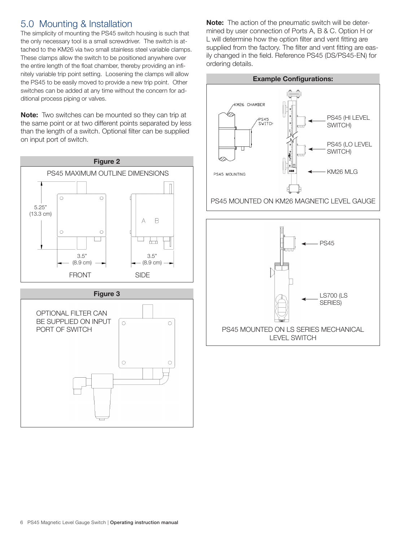# 5.0 Mounting & Installation

The simplicity of mounting the PS45 switch housing is such that the only necessary tool is a small screwdriver. The switch is attached to the KM26 via two small stainless steel variable clamps. These clamps allow the switch to be positioned anywhere over the entire length of the float chamber, thereby providing an infinitely variable trip point setting. Loosening the clamps will allow the PS45 to be easily moved to provide a new trip point. Other switches can be added at any time without the concern for additional process piping or valves.

**Note:** Two switches can be mounted so they can trip at the same point or at two different points separated by less than the length of a switch. Optional filter can be supplied on input port of switch.



#### **Figure 3**



**Note:** The action of the pneumatic switch will be determined by user connection of Ports A, B & C. Option H or L will determine how the option filter and vent fitting are supplied from the factory. The filter and vent fitting are easily changed in the field. Reference PS45 (DS/PS45-EN) for ordering details.



![](_page_5_Figure_8.jpeg)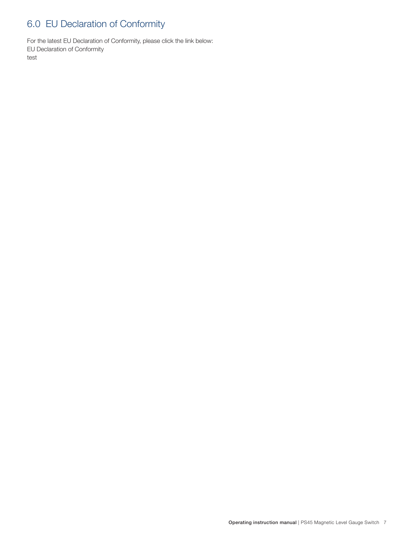# 6.0 EU Declaration of Conformity

For the latest EU Declaration of Conformity, please click the link below: EU Declaration of Conformity test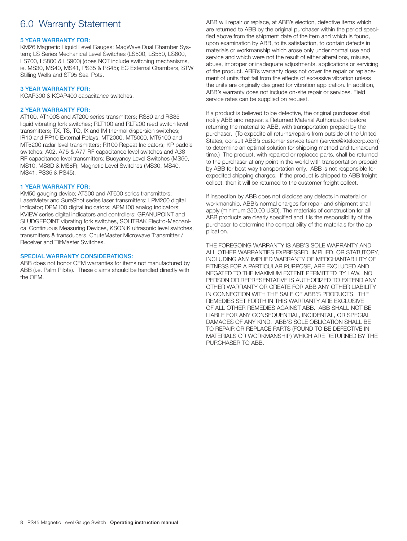# 6.0 Warranty Statement

#### 5 YEAR WARRANTY FOR:

KM26 Magnetic Liquid Level Gauges; MagWave Dual Chamber System; LS Series Mechanical Level Switches (LS500, LS550, LS600, LS700, LS800 & LS900) (does NOT include switching mechanisms, ie. MS30, MS40, MS41, PS35 & PS45); EC External Chambers, STW Stilling Wells and ST95 Seal Pots.

#### 3 YEAR WARRANTY FOR:

KCAP300 & KCAP400 capacitance switches.

#### 2 YEAR WARRANTY FOR:

AT100, AT100S and AT200 series transmitters; RS80 and RS85 liquid vibrating fork switches; RLT100 and RLT200 reed switch level transmitters; TX, TS, TQ, IX and IM thermal dispersion switches; IR10 and PP10 External Relays; MT2000, MT5000, MT5100 and MT5200 radar level transmitters; RI100 Repeat Indicators; KP paddle switches; A02, A75 & A77 RF capacitance level switches and A38 RF capacitance level transmitters; Buoyancy Level Switches (MS50, MS10, MS8D & MS8F); Magnetic Level Switches (MS30, MS40, MS41, PS35 & PS45).

#### 1 YEAR WARRANTY FOR:

KM50 gauging device; AT500 and AT600 series transmitters; LaserMeter and SureShot series laser transmitters; LPM200 digital indicator; DPM100 digital indicators; APM100 analog indicators; KVIEW series digital indicators and controllers; GRANUPOINT and SLUDGEPOINT vibrating fork switches, SOLITRAK Electro-Mechanical Continuous Measuring Devices, KSONIK ultrasonic level switches, transmitters & transducers, ChuteMaster Microwave Transmitter / Receiver and TiltMaster Switches.

#### SPECIAL WARRANTY CONSIDERATIONS:

ABB does not honor OEM warranties for items not manufactured by ABB (i.e. Palm Pilots). These claims should be handled directly with the OEM.

ABB will repair or replace, at ABB's election, defective items which are returned to ABB by the original purchaser within the period specified above from the shipment date of the item and which is found, upon examination by ABB, to its satisfaction, to contain defects in materials or workmanship which arose only under normal use and service and which were not the result of either alterations, misuse, abuse, improper or inadequate adjustments, applications or servicing of the product. ABB's warranty does not cover the repair or replacement of units that fail from the effects of excessive vibration unless the units are originally designed for vibration application. In addition, ABB's warranty does not include on-site repair or services. Field service rates can be supplied on request.

If a product is believed to be defective, the original purchaser shall notify ABB and request a Returned Material Authorization before returning the material to ABB, with transportation prepaid by the purchaser. (To expedite all returns/repairs from outside of the United States, consult ABB's customer service team (service@ktekcorp.com) to determine an optimal solution for shipping method and turnaround time.) The product, with repaired or replaced parts, shall be returned to the purchaser at any point in the world with transportation prepaid by ABB for best-way transportation only. ABB is not responsible for expedited shipping charges. If the product is shipped to ABB freight collect, then it will be returned to the customer freight collect.

If inspection by ABB does not disclose any defects in material or workmanship, ABB's normal charges for repair and shipment shall apply (minimum 250.00 USD). The materials of construction for all ABB products are clearly specified and it is the responsibility of the purchaser to determine the compatibility of the materials for the application.

THE FOREGOING WARRANTY IS ABB'S SOLE WARRANTY AND ALL OTHER WARRANTIES EXPRESSED, IMPLIED, OR STATUTORY, INCLUDING ANY IMPLIED WARRANTY OF MERCHANTABILITY OF FITNESS FOR A PARTICULAR PURPOSE, ARE EXCLUDED AND NEGATED TO THE MAXIMUM EXTENT PERMITTED BY LAW. NO PERSON OR REPRESENTATIVE IS AUTHORIZED TO EXTEND ANY OTHER WARRANTY OR CREATE FOR ABB ANY OTHER LIABILITY IN CONNECTION WITH THE SALE OF ABB'S PRODUCTS. THE REMEDIES SET FORTH IN THIS WARRANTY ARE EXCLUSIVE OF ALL OTHER REMEDIES AGAINST ABB. ABB SHALL NOT BE LIABLE FOR ANY CONSEQUENTIAL, INCIDENTAL, OR SPECIAL DAMAGES OF ANY KIND. ABB'S SOLE OBLIGATION SHALL BE TO REPAIR OR REPLACE PARTS (FOUND TO BE DEFECTIVE IN MATERIALS OR WORKMANSHIP) WHICH ARE RETURNED BY THE PURCHASER TO ABB.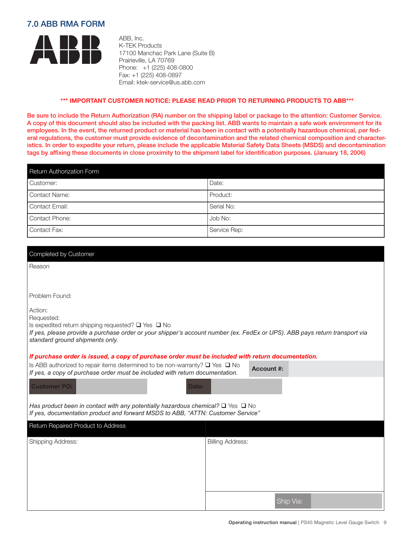### 7.0 ABB RMA FORM

![](_page_8_Picture_1.jpeg)

ABB, Inc. K-TEK Products 17100 Manchac Park Lane (Suite B) Prairieville, LA 70769 Phone: +1 (225) 408-0800 Fax: +1 (225) 408-0897 Email: ktek-service@us.abb.com

#### **\*\*\* IMPORTANT CUSTOMER NOTICE: PLEASE READ PRIOR TO RETURNING PRODUCTS TO ABB\*\*\***

Be sure to include the Return Authorization (RA) number on the shipping label or package to the attention: Customer Service. A copy of this document should also be included with the packing list. ABB wants to maintain a safe work environment for its employees. In the event, the returned product or material has been in contact with a potentially hazardous chemical, per federal regulations, the customer must provide evidence of decontamination and the related chemical composition and characteristics. In order to expedite your return, please include the applicable Material Safety Data Sheets (MSDS) and decontamination tags by affixing these documents in close proximity to the shipment label for identification purposes. (January 18, 2006)

| Return Authorization Form |              |  |  |  |
|---------------------------|--------------|--|--|--|
| Customer:                 | Date:        |  |  |  |
| Contact Name:             | Product:     |  |  |  |
| Contact Email:            | Serial No:   |  |  |  |
| Contact Phone:            | Job No:      |  |  |  |
| Contact Fax:              | Service Rep: |  |  |  |

| Completed by Customer                                                                                                                                                              |                         |  |  |  |  |
|------------------------------------------------------------------------------------------------------------------------------------------------------------------------------------|-------------------------|--|--|--|--|
| Reason                                                                                                                                                                             |                         |  |  |  |  |
|                                                                                                                                                                                    |                         |  |  |  |  |
| Problem Found:                                                                                                                                                                     |                         |  |  |  |  |
| Action:                                                                                                                                                                            |                         |  |  |  |  |
| Requested:<br>Is expedited return shipping requested? $\square$ Yes $\square$ No                                                                                                   |                         |  |  |  |  |
| If yes, please provide a purchase order or your shipper's account number (ex. FedEx or UPS). ABB pays return transport via<br>standard ground shipments only.                      |                         |  |  |  |  |
| If purchase order is issued, a copy of purchase order must be included with return documentation.                                                                                  |                         |  |  |  |  |
| Is ABB authorized to repair items determined to be non-warranty? $\square$ Yes $\square$ No<br>If yes, a copy of purchase order must be included with return documentation.        | <b>Account #:</b>       |  |  |  |  |
| <b>Customer PO:</b><br>Date:                                                                                                                                                       |                         |  |  |  |  |
| Has product been in contact with any potentially hazardous chemical? $\square$ Yes $\square$ No<br>If yes, documentation product and forward MSDS to ABB, "ATTN: Customer Service" |                         |  |  |  |  |
| Return Repaired Product to Address                                                                                                                                                 |                         |  |  |  |  |
| Shipping Address:                                                                                                                                                                  | <b>Billing Address:</b> |  |  |  |  |
|                                                                                                                                                                                    |                         |  |  |  |  |
|                                                                                                                                                                                    |                         |  |  |  |  |
|                                                                                                                                                                                    |                         |  |  |  |  |
|                                                                                                                                                                                    |                         |  |  |  |  |
|                                                                                                                                                                                    | Ship Via:               |  |  |  |  |